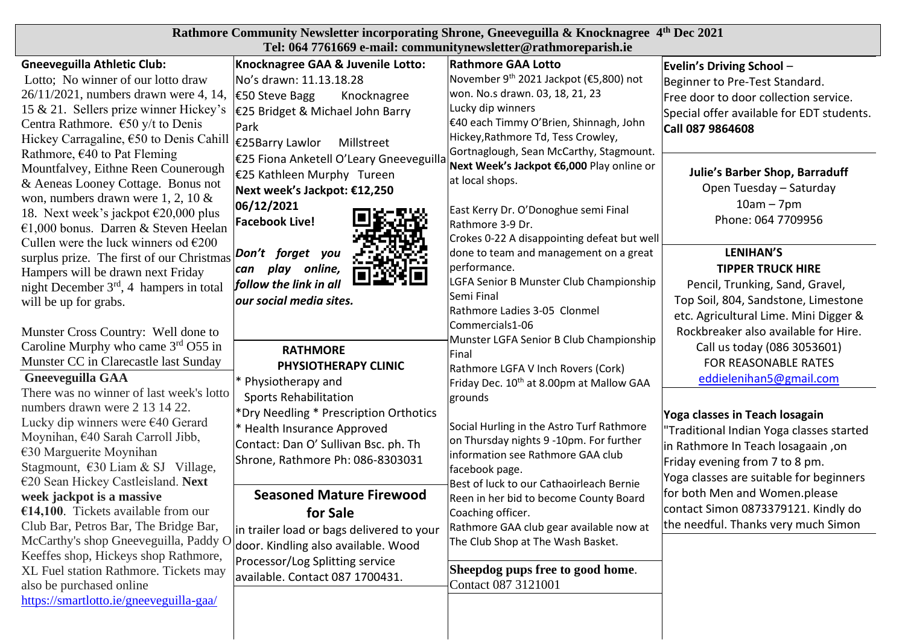| Rathmore Community Newsletter incorporating Shrone, Gneeveguilla & Knocknagree 4th Dec 2021<br>Tel: 064 7761669 e-mail: communitynewsletter@rathmoreparish.ie                                                                                                                                                 |                                                                                                                                                                                                       |                                                                                                                                                                                                                                                                    |                                                                                                                                                                                               |  |
|---------------------------------------------------------------------------------------------------------------------------------------------------------------------------------------------------------------------------------------------------------------------------------------------------------------|-------------------------------------------------------------------------------------------------------------------------------------------------------------------------------------------------------|--------------------------------------------------------------------------------------------------------------------------------------------------------------------------------------------------------------------------------------------------------------------|-----------------------------------------------------------------------------------------------------------------------------------------------------------------------------------------------|--|
| <b>Gneeveguilla Athletic Club:</b><br>Lotto; No winner of our lotto draw<br>26/11/2021, numbers drawn were 4, 14,<br>15 & 21. Sellers prize winner Hickey's<br>Centra Rathmore. $\epsilon$ 50 y/t to Denis<br>Hickey Carragaline, $\epsilon$ 50 to Denis Cahill                                               | Knocknagree GAA & Juvenile Lotto:<br>No's drawn: 11.13.18.28<br>$€50$ Steve Bagg<br>Knocknagree<br>€25 Bridget & Michael John Barry<br>Park<br>€25Barry Lawlor<br>Millstreet                          | <b>Rathmore GAA Lotto</b><br>November 9 <sup>th</sup> 2021 Jackpot (€5,800) not<br>won. No.s drawn. 03, 18, 21, 23<br>Lucky dip winners<br>E40 each Timmy O'Brien, Shinnagh, John<br>Hickey, Rathmore Td, Tess Crowley,<br>Gortnaglough, Sean McCarthy, Stagmount. | Evelin's Driving School -<br>Beginner to Pre-Test Standard.<br>Free door to door collection service.<br>Special offer available for EDT students.<br>Call 087 9864608                         |  |
| Rathmore, $\epsilon$ 40 to Pat Fleming<br>Mountfalvey, Eithne Reen Counerough<br>& Aeneas Looney Cottage. Bonus not<br>won, numbers drawn were 1, 2, 10 $\&$<br>18. Next week's jackpot $\epsilon$ 20,000 plus<br>€1,000 bonus. Darren & Steven Heelan<br>Cullen were the luck winners od $\epsilon$ 200      | €25 Fiona Anketell O'Leary Gneeveguilla<br>€25 Kathleen Murphy Tureen<br>Next week's Jackpot: €12,250<br>06/12/2021<br><b>Facebook Live!</b>                                                          | Next Week's Jackpot €6,000 Play online or<br>at local shops.<br>East Kerry Dr. O'Donoghue semi Final<br>Rathmore 3-9 Dr.<br>Crokes 0-22 A disappointing defeat but well                                                                                            | <b>Julie's Barber Shop, Barraduff</b><br>Open Tuesday - Saturday<br>$10am - 7pm$<br>Phone: 064 7709956                                                                                        |  |
| surplus prize. The first of our Christmas <b>Don't</b> forget you<br>Hampers will be drawn next Friday<br>night December $3rd$ , 4 hampers in total<br>will be up for grabs.                                                                                                                                  | play online,<br>can<br>follow the link in all<br>our social media sites.                                                                                                                              | done to team and management on a great<br>performance.<br>LGFA Senior B Munster Club Championship<br>Semi Final<br>Rathmore Ladies 3-05 Clonmel                                                                                                                    | <b>LENIHAN'S</b><br><b>TIPPER TRUCK HIRE</b><br>Pencil, Trunking, Sand, Gravel,<br>Top Soil, 804, Sandstone, Limestone<br>etc. Agricultural Lime. Mini Digger &                               |  |
| Munster Cross Country: Well done to<br>Caroline Murphy who came $3rd$ O55 in<br>Munster CC in Clarecastle last Sunday<br><b>Gneeveguilla GAA</b>                                                                                                                                                              | <b>RATHMORE</b><br>PHYSIOTHERAPY CLINIC<br>* Physiotherapy and                                                                                                                                        | Commercials1-06<br>Munster LGFA Senior B Club Championship<br>Final<br>Rathmore LGFA V Inch Rovers (Cork)<br>Friday Dec. 10 <sup>th</sup> at 8.00pm at Mallow GAA                                                                                                  | Rockbreaker also available for Hire.<br>Call us today (086 3053601)<br>FOR REASONABLE RATES<br>eddielenihan5@gmail.com                                                                        |  |
| There was no winner of last week's lotto<br>numbers drawn were 2 13 14 22.<br>Lucky dip winners were $€40$ Gerard<br>Moynihan, €40 Sarah Carroll Jibb,<br>$€30$ Marguerite Moynihan<br>Stagmount, $630$ Liam & SJ Village,<br>€20 Sean Hickey Castleisland. Next                                              | <b>Sports Rehabilitation</b><br>*Dry Needling * Prescription Orthotics<br>* Health Insurance Approved<br>Contact: Dan O' Sullivan Bsc. ph. Th<br>Shrone, Rathmore Ph: 086-8303031                     | grounds<br>Social Hurling in the Astro Turf Rathmore<br>on Thursday nights 9 -10pm. For further<br>information see Rathmore GAA club<br>facebook page.<br>Best of luck to our Cathaoirleach Bernie                                                                 | Yoga classes in Teach losagain<br>'Traditional Indian Yoga classes started<br>in Rathmore In Teach losagaain, on<br>Friday evening from 7 to 8 pm.<br>Yoga classes are suitable for beginners |  |
| week jackpot is a massive<br>$€14,100$ . Tickets available from our<br>Club Bar, Petros Bar, The Bridge Bar,<br>McCarthy's shop Gneeveguilla, Paddy O<br>Keeffes shop, Hickeys shop Rathmore,<br>XL Fuel station Rathmore. Tickets may<br>also be purchased online<br>https://smartlotto.ie/gneeveguilla-gaa/ | <b>Seasoned Mature Firewood</b><br>for Sale<br>in trailer load or bags delivered to your<br>door. Kindling also available. Wood<br>Processor/Log Splitting service<br>available. Contact 087 1700431. | Reen in her bid to become County Board<br>Coaching officer.<br>Rathmore GAA club gear available now at<br>The Club Shop at The Wash Basket.<br>Sheepdog pups free to good home.<br>Contact 087 3121001                                                             | for both Men and Women.please<br>contact Simon 0873379121. Kindly do<br>the needful. Thanks very much Simon                                                                                   |  |